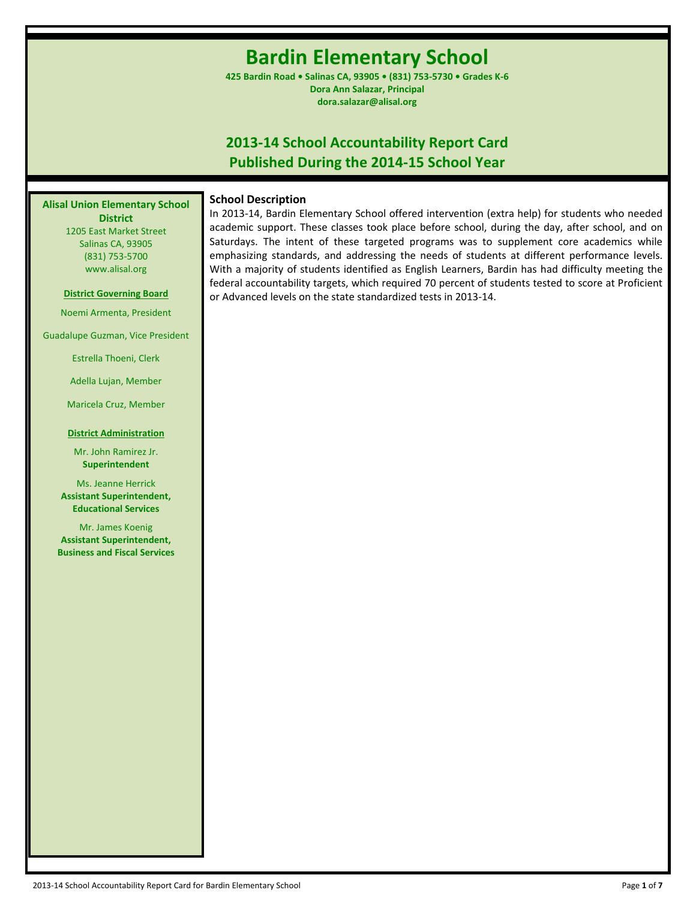# **Bardin Elementary School**

**425 Bardin Road • Salinas CA, 93905 • (831) 753-5730 • Grades K-6 Dora Ann Salazar, Principal dora.salazar@alisal.org**

## **2013-14 School Accountability Report Card Published During the 2014-15 School Year**

**Alisal Union Elementary School District**

1205 East Market Street Salinas CA, 93905 (831) 753-5700 www.alisal.org

### **District Governing Board**

Noemi Armenta, President

Guadalupe Guzman, Vice President

Estrella Thoeni, Clerk

Adella Lujan, Member

Maricela Cruz, Member

#### **District Administration**

Mr. John Ramirez Jr. **Superintendent**

Ms. Jeanne Herrick **Assistant Superintendent, Educational Services**

Mr. James Koenig **Assistant Superintendent, Business and Fiscal Services** **School Description**

In 2013-14, Bardin Elementary School offered intervention (extra help) for students who needed academic support. These classes took place before school, during the day, after school, and on Saturdays. The intent of these targeted programs was to supplement core academics while emphasizing standards, and addressing the needs of students at different performance levels. With a majority of students identified as English Learners, Bardin has had difficulty meeting the federal accountability targets, which required 70 percent of students tested to score at Proficient or Advanced levels on the state standardized tests in 2013-14.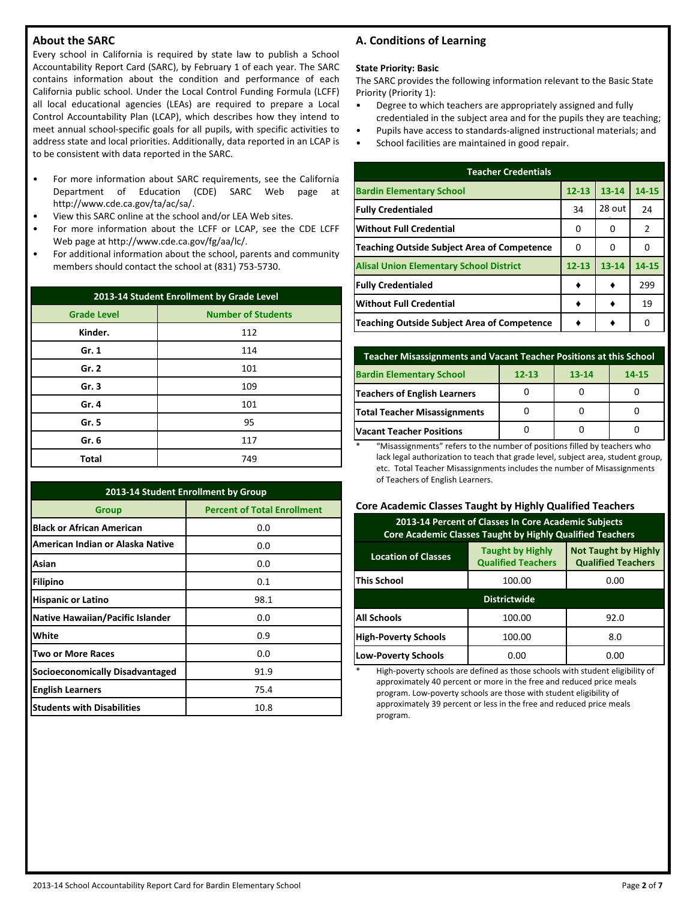## **About the SARC**

Every school in California is required by state law to publish a School Accountability Report Card (SARC), by February 1 of each year. The SARC contains information about the condition and performance of each California public school. Under the Local Control Funding Formula (LCFF) all local educational agencies (LEAs) are required to prepare a Local Control Accountability Plan (LCAP), which describes how they intend to meet annual school-specific goals for all pupils, with specific activities to address state and local priorities. Additionally, data reported in an LCAP is to be consistent with data reported in the SARC.

- For more information about SARC requirements, see the California Department of Education (CDE) SARC Web page at http://www.cde.ca.gov/ta/ac/sa/.
- View this SARC online at the school and/or LEA Web sites.
- For more information about the LCFF or LCAP, see the CDE LCFF Web page at http://www.cde.ca.gov/fg/aa/lc/.
- For additional information about the school, parents and community members should contact the school at (831) 753-5730.

| 2013-14 Student Enrollment by Grade Level |                           |  |  |
|-------------------------------------------|---------------------------|--|--|
| <b>Grade Level</b>                        | <b>Number of Students</b> |  |  |
| Kinder.                                   | 112                       |  |  |
| Gr. 1                                     | 114                       |  |  |
| Gr. 2                                     | 101                       |  |  |
| Gr.3                                      | 109                       |  |  |
| Gr. 4                                     | 101                       |  |  |
| Gr. 5                                     | 95                        |  |  |
| Gr. 6                                     | 117                       |  |  |
| <b>Total</b>                              | 749                       |  |  |

| 2013-14 Student Enrollment by Group                |      |  |  |  |
|----------------------------------------------------|------|--|--|--|
| <b>Percent of Total Enrollment</b><br><b>Group</b> |      |  |  |  |
| <b>Black or African American</b>                   | 0.0  |  |  |  |
| American Indian or Alaska Native                   | 0.0  |  |  |  |
| Asian                                              | 0.0  |  |  |  |
| <b>Filipino</b>                                    | 0.1  |  |  |  |
| <b>Hispanic or Latino</b>                          | 98.1 |  |  |  |
| <b>Native Hawaiian/Pacific Islander</b>            | 0.0  |  |  |  |
| White                                              | 0.9  |  |  |  |
| <b>Two or More Races</b>                           | 0.0  |  |  |  |
| <b>Socioeconomically Disadvantaged</b>             | 91.9 |  |  |  |
| <b>English Learners</b>                            | 75.4 |  |  |  |
| <b>Students with Disabilities</b>                  | 10.8 |  |  |  |

## **A. Conditions of Learning**

#### **State Priority: Basic**

The SARC provides the following information relevant to the Basic State Priority (Priority 1):

- Degree to which teachers are appropriately assigned and fully credentialed in the subject area and for the pupils they are teaching;
- Pupils have access to standards-aligned instructional materials; and
- School facilities are maintained in good repair.

| <b>Teacher Credentials</b>                         |           |           |                |  |  |  |
|----------------------------------------------------|-----------|-----------|----------------|--|--|--|
| <b>Bardin Elementary School</b>                    | $12 - 13$ | $13 - 14$ | 14-15          |  |  |  |
| <b>Fully Credentialed</b>                          | 34        | 28 out    | 24             |  |  |  |
| Without Full Credential                            | 0         | 0         | $\overline{2}$ |  |  |  |
| <b>Teaching Outside Subject Area of Competence</b> | 0         | 0         | 0              |  |  |  |
| <b>Alisal Union Elementary School District</b>     | $12 - 13$ | 13-14     | 14-15          |  |  |  |
| <b>Fully Credentialed</b>                          |           |           | 299            |  |  |  |
| <b>Without Full Credential</b>                     |           |           | 19             |  |  |  |
| Teaching Outside Subject Area of Competence        |           |           | O              |  |  |  |

| Teacher Misassignments and Vacant Teacher Positions at this School |           |           |       |  |  |
|--------------------------------------------------------------------|-----------|-----------|-------|--|--|
| <b>Bardin Elementary School</b>                                    | $12 - 13$ | $13 - 14$ | 14-15 |  |  |
| Teachers of English Learners                                       |           |           |       |  |  |
| <b>Total Teacher Misassignments</b>                                |           |           |       |  |  |
| <b>Vacant Teacher Positions</b>                                    |           |           |       |  |  |

\* "Misassignments" refers to the number of positions filled by teachers who lack legal authorization to teach that grade level, subject area, student group, etc. Total Teacher Misassignments includes the number of Misassignments of Teachers of English Learners.

### **Core Academic Classes Taught by Highly Qualified Teachers**

| 2013-14 Percent of Classes In Core Academic Subjects<br><b>Core Academic Classes Taught by Highly Qualified Teachers</b> |                                                      |                                                          |  |  |  |
|--------------------------------------------------------------------------------------------------------------------------|------------------------------------------------------|----------------------------------------------------------|--|--|--|
| <b>Location of Classes</b>                                                                                               | <b>Taught by Highly</b><br><b>Qualified Teachers</b> | <b>Not Taught by Highly</b><br><b>Qualified Teachers</b> |  |  |  |
| <b>This School</b>                                                                                                       | 100.00                                               | 0.00                                                     |  |  |  |
|                                                                                                                          | <b>Districtwide</b>                                  |                                                          |  |  |  |
| <b>All Schools</b>                                                                                                       | 100.00                                               | 92.0                                                     |  |  |  |
| <b>High-Poverty Schools</b>                                                                                              | 100.00                                               | 8.0                                                      |  |  |  |
| <b>Low-Poverty Schools</b>                                                                                               | 0.00                                                 | 0.00                                                     |  |  |  |

High-poverty schools are defined as those schools with student eligibility of approximately 40 percent or more in the free and reduced price meals program. Low-poverty schools are those with student eligibility of approximately 39 percent or less in the free and reduced price meals program.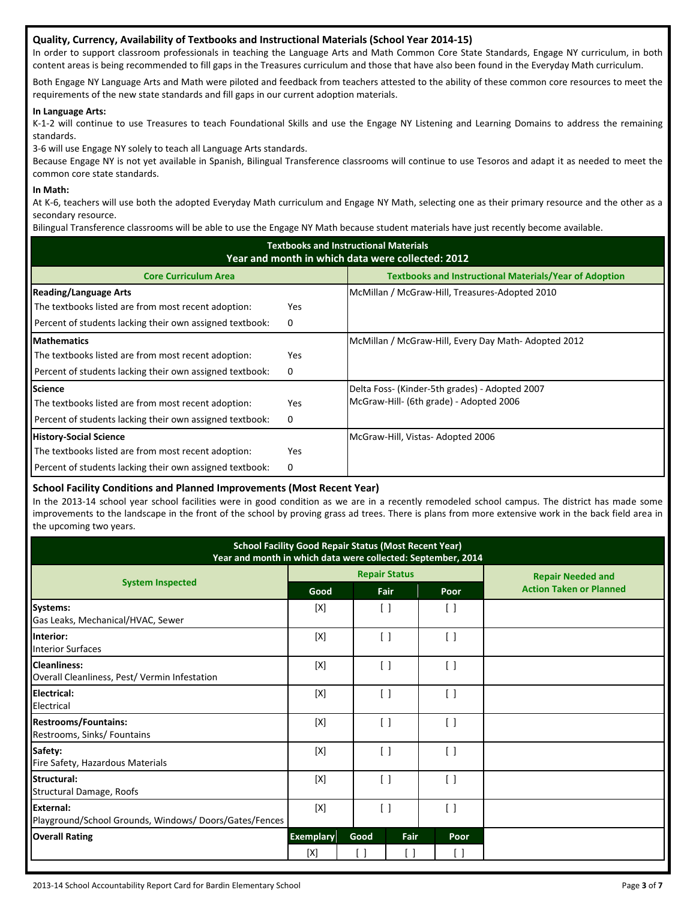## **Quality, Currency, Availability of Textbooks and Instructional Materials (School Year 2014-15)**

In order to support classroom professionals in teaching the Language Arts and Math Common Core State Standards, Engage NY curriculum, in both content areas is being recommended to fill gaps in the Treasures curriculum and those that have also been found in the Everyday Math curriculum.

Both Engage NY Language Arts and Math were piloted and feedback from teachers attested to the ability of these common core resources to meet the requirements of the new state standards and fill gaps in our current adoption materials.

## **In Language Arts:**

K-1-2 will continue to use Treasures to teach Foundational Skills and use the Engage NY Listening and Learning Domains to address the remaining standards.

3-6 will use Engage NY solely to teach all Language Arts standards.

Because Engage NY is not yet available in Spanish, Bilingual Transference classrooms will continue to use Tesoros and adapt it as needed to meet the common core state standards.

## **In Math:**

At K-6, teachers will use both the adopted Everyday Math curriculum and Engage NY Math, selecting one as their primary resource and the other as a secondary resource.

Bilingual Transference classrooms will be able to use the Engage NY Math because student materials have just recently become available.

| <b>Textbooks and Instructional Materials</b><br>Year and month in which data were collected: 2012 |            |                                                               |  |  |  |
|---------------------------------------------------------------------------------------------------|------------|---------------------------------------------------------------|--|--|--|
| <b>Core Curriculum Area</b>                                                                       |            | <b>Textbooks and Instructional Materials/Year of Adoption</b> |  |  |  |
| <b>Reading/Language Arts</b>                                                                      |            | McMillan / McGraw-Hill, Treasures-Adopted 2010                |  |  |  |
| The textbooks listed are from most recent adoption:                                               | <b>Yes</b> |                                                               |  |  |  |
| Percent of students lacking their own assigned textbook:                                          | 0          |                                                               |  |  |  |
| <b>Mathematics</b>                                                                                |            | McMillan / McGraw-Hill, Every Day Math-Adopted 2012           |  |  |  |
| The textbooks listed are from most recent adoption:                                               | <b>Yes</b> |                                                               |  |  |  |
| Percent of students lacking their own assigned textbook:                                          | 0          |                                                               |  |  |  |
| <b>Science</b>                                                                                    |            | Delta Foss- (Kinder-5th grades) - Adopted 2007                |  |  |  |
| The textbooks listed are from most recent adoption:                                               | <b>Yes</b> | McGraw-Hill- (6th grade) - Adopted 2006                       |  |  |  |
| Percent of students lacking their own assigned textbook:                                          | 0          |                                                               |  |  |  |
| <b>History-Social Science</b>                                                                     |            | McGraw-Hill, Vistas-Adopted 2006                              |  |  |  |
| The textbooks listed are from most recent adoption:                                               | <b>Yes</b> |                                                               |  |  |  |
| Percent of students lacking their own assigned textbook:                                          | 0          |                                                               |  |  |  |

## **School Facility Conditions and Planned Improvements (Most Recent Year)**

In the 2013-14 school year school facilities were in good condition as we are in a recently remodeled school campus. The district has made some improvements to the landscape in the front of the school by proving grass ad trees. There is plans from more extensive work in the back field area in the upcoming two years.

| <b>School Facility Good Repair Status (Most Recent Year)</b><br>Year and month in which data were collected: September, 2014 |                  |                                 |                      |                                 |                                |
|------------------------------------------------------------------------------------------------------------------------------|------------------|---------------------------------|----------------------|---------------------------------|--------------------------------|
| <b>System Inspected</b>                                                                                                      |                  |                                 | <b>Repair Status</b> |                                 | <b>Repair Needed and</b>       |
|                                                                                                                              | Good             |                                 | <b>Fair</b>          | Poor                            | <b>Action Taken or Planned</b> |
| Systems:<br>Gas Leaks, Mechanical/HVAC, Sewer                                                                                | [X]              | $\lceil$ 1                      |                      | $\lceil$ $\rceil$               |                                |
| Interior:<br><b>Interior Surfaces</b>                                                                                        | [X]              | $\begin{bmatrix} \end{bmatrix}$ |                      | $\begin{bmatrix} \end{bmatrix}$ |                                |
| <b>Cleanliness:</b><br>Overall Cleanliness, Pest/ Vermin Infestation                                                         | [X]              | $\lceil$ $\rceil$               |                      | $\lceil$ $\rceil$               |                                |
| Electrical:<br>Electrical                                                                                                    | [X]              | $\left[ \quad \right]$          |                      | $\begin{bmatrix} \end{bmatrix}$ |                                |
| <b>Restrooms/Fountains:</b><br>Restrooms, Sinks/ Fountains                                                                   | [X]              | $\left[ \quad \right]$          |                      | $\left[ \quad \right]$          |                                |
| Safety:<br>Fire Safety, Hazardous Materials                                                                                  | [X]              | $\left[ \ \right]$              |                      | $\lceil$                        |                                |
| Structural:<br>Structural Damage, Roofs                                                                                      | [X]              | $\lceil$ $\rceil$               |                      | $\left[ \quad \right]$          |                                |
| <b>External:</b><br>Playground/School Grounds, Windows/Doors/Gates/Fences                                                    | [X]              | $\Box$                          |                      | $\left[ \quad \right]$          |                                |
| <b>Overall Rating</b>                                                                                                        | <b>Exemplary</b> | Good                            | Fair                 | Poor                            |                                |
|                                                                                                                              | [X]              |                                 | [ ]                  | $\begin{bmatrix} \end{bmatrix}$ |                                |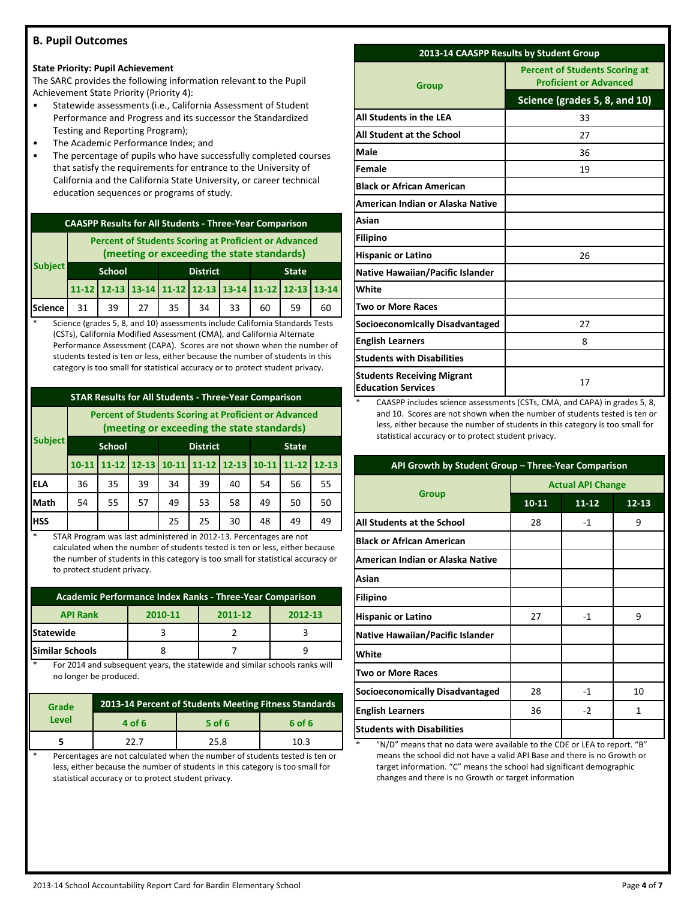## **B. Pupil Outcomes**

#### **State Priority: Pupil Achievement**

The SARC provides the following information relevant to the Pupil Achievement State Priority (Priority 4):

- Statewide assessments (i.e., California Assessment of Student Performance and Progress and its successor the Standardized Testing and Reporting Program);
- The Academic Performance Index; and
- The percentage of pupils who have successfully completed courses that satisfy the requirements for entrance to the University of California and the California State University, or career technical education sequences or programs of study.

| <b>CAASPP Results for All Students - Three-Year Comparison</b> |                                                                                                            |                                                       |    |    |    |    |    |    |    |
|----------------------------------------------------------------|------------------------------------------------------------------------------------------------------------|-------------------------------------------------------|----|----|----|----|----|----|----|
|                                                                | <b>Percent of Students Scoring at Proficient or Advanced</b><br>(meeting or exceeding the state standards) |                                                       |    |    |    |    |    |    |    |
| <b>Subject</b>                                                 |                                                                                                            | <b>School</b><br><b>District</b><br><b>State</b>      |    |    |    |    |    |    |    |
|                                                                |                                                                                                            | 11-12 12-13 13-14 11-12 12-13 13-14 11-12 12-13 13-14 |    |    |    |    |    |    |    |
| <b>Science</b>                                                 | 31                                                                                                         | 39                                                    | 27 | 35 | 34 | 33 | 60 | 59 | 60 |

Science (grades 5, 8, and 10) assessments include California Standards Tests (CSTs), California Modified Assessment (CMA), and California Alternate Performance Assessment (CAPA). Scores are not shown when the number of students tested is ten or less, either because the number of students in this category is too small for statistical accuracy or to protect student privacy.

## **STAR Results for All Students - Three-Year Comparison**

**Subject Percent of Students Scoring at Proficient or Advanced (meeting or exceeding the state standards) School District State 10-11 11-12 12-13 10-11 11-12 12-13 10-11 11-12 12-13 ELA** 36 35 39 34 39 40 54 56 55 **Math** | 54 | 55 | 57 | 49 | 53 | 58 | 49 | 50 | 50 **HSS** | | | | 25 | 25 | 30 | 48 | 49 | 49

STAR Program was last administered in 2012-13. Percentages are not calculated when the number of students tested is ten or less, either because the number of students in this category is too small for statistical accuracy or to protect student privacy.

| Academic Performance Index Ranks - Three-Year Comparison |         |         |         |  |  |  |
|----------------------------------------------------------|---------|---------|---------|--|--|--|
| <b>API Rank</b>                                          | 2010-11 | 2011-12 | 2012-13 |  |  |  |
| <b>Statewide</b>                                         |         |         |         |  |  |  |
| <b>Similar Schools</b>                                   |         |         |         |  |  |  |

For 2014 and subsequent years, the statewide and similar schools ranks will no longer be produced.

| <b>Grade</b> | 2013-14 Percent of Students Meeting Fitness Standards |      |      |  |  |  |  |
|--------------|-------------------------------------------------------|------|------|--|--|--|--|
| Level        | 6 of 6<br>$5$ of 6<br>4 of 6                          |      |      |  |  |  |  |
|              | つつ フ                                                  | 25.8 | 10.3 |  |  |  |  |

Percentages are not calculated when the number of students tested is ten or less, either because the number of students in this category is too small for statistical accuracy or to protect student privacy.

| 2013-14 CAASPP Results by Student Group                        |                                                                        |  |  |
|----------------------------------------------------------------|------------------------------------------------------------------------|--|--|
| <b>Group</b>                                                   | <b>Percent of Students Scoring at</b><br><b>Proficient or Advanced</b> |  |  |
|                                                                | Science (grades 5, 8, and 10)                                          |  |  |
| All Students in the LEA                                        | 33                                                                     |  |  |
| All Student at the School                                      | 27                                                                     |  |  |
| Male                                                           | 36                                                                     |  |  |
| Female                                                         | 19                                                                     |  |  |
| <b>Black or African American</b>                               |                                                                        |  |  |
| American Indian or Alaska Native                               |                                                                        |  |  |
| Asian                                                          |                                                                        |  |  |
| <b>Filipino</b>                                                |                                                                        |  |  |
| <b>Hispanic or Latino</b>                                      | 26                                                                     |  |  |
| <b>Native Hawaiian/Pacific Islander</b>                        |                                                                        |  |  |
| White                                                          |                                                                        |  |  |
| <b>Two or More Races</b>                                       |                                                                        |  |  |
| <b>Socioeconomically Disadvantaged</b>                         | 27                                                                     |  |  |
| <b>English Learners</b>                                        | 8                                                                      |  |  |
| <b>Students with Disabilities</b>                              |                                                                        |  |  |
| <b>Students Receiving Migrant</b><br><b>Education Services</b> | 17                                                                     |  |  |

CAASPP includes science assessments (CSTs, CMA, and CAPA) in grades 5, 8, and 10. Scores are not shown when the number of students tested is ten or less, either because the number of students in this category is too small for statistical accuracy or to protect student privacy.

| API Growth by Student Group - Three-Year Comparison |                          |           |           |  |  |
|-----------------------------------------------------|--------------------------|-----------|-----------|--|--|
|                                                     | <b>Actual API Change</b> |           |           |  |  |
| <b>Group</b>                                        | $10 - 11$                | $11 - 12$ | $12 - 13$ |  |  |
| All Students at the School                          | 28                       | $-1$      | 9         |  |  |
| <b>Black or African American</b>                    |                          |           |           |  |  |
| American Indian or Alaska Native                    |                          |           |           |  |  |
| Asian                                               |                          |           |           |  |  |
| <b>Filipino</b>                                     |                          |           |           |  |  |
| <b>Hispanic or Latino</b>                           | 27                       | $-1$      | 9         |  |  |
| <b>Native Hawaiian/Pacific Islander</b>             |                          |           |           |  |  |
| White                                               |                          |           |           |  |  |
| <b>Two or More Races</b>                            |                          |           |           |  |  |
| <b>Socioeconomically Disadvantaged</b>              | 28                       | -1        | 10        |  |  |
| <b>English Learners</b>                             | 36                       | $-2$      | 1         |  |  |
| <b>Students with Disabilities</b>                   |                          |           |           |  |  |

"N/D" means that no data were available to the CDE or LEA to report. "B" means the school did not have a valid API Base and there is no Growth or target information. "C" means the school had significant demographic changes and there is no Growth or target information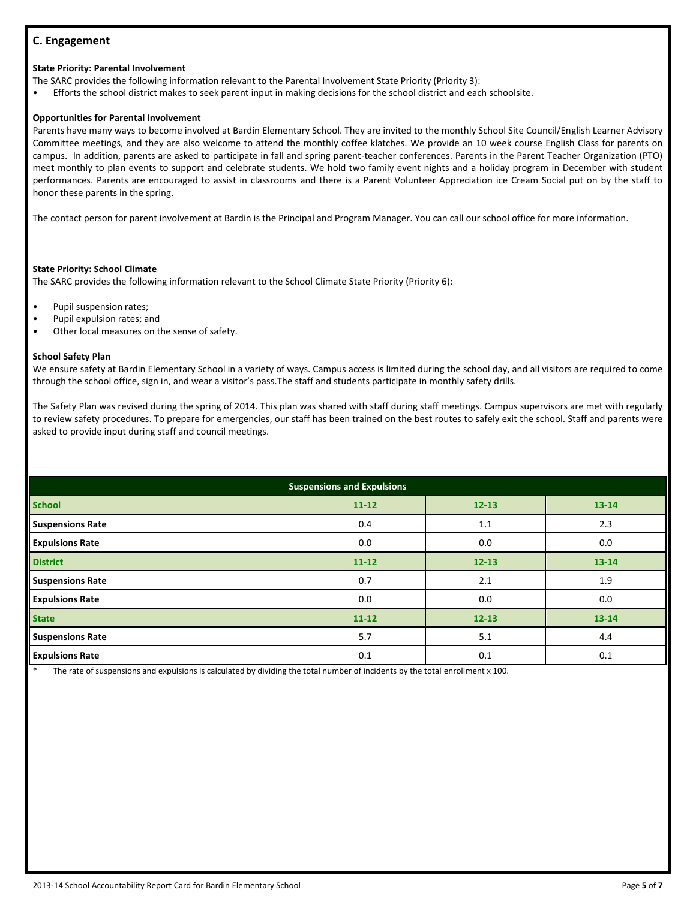## **C. Engagement**

#### **State Priority: Parental Involvement**

The SARC provides the following information relevant to the Parental Involvement State Priority (Priority 3):

• Efforts the school district makes to seek parent input in making decisions for the school district and each schoolsite.

#### **Opportunities for Parental Involvement**

Parents have many ways to become involved at Bardin Elementary School. They are invited to the monthly School Site Council/English Learner Advisory Committee meetings, and they are also welcome to attend the monthly coffee klatches. We provide an 10 week course English Class for parents on campus. In addition, parents are asked to participate in fall and spring parent-teacher conferences. Parents in the Parent Teacher Organization (PTO) meet monthly to plan events to support and celebrate students. We hold two family event nights and a holiday program in December with student performances. Parents are encouraged to assist in classrooms and there is a Parent Volunteer Appreciation ice Cream Social put on by the staff to honor these parents in the spring.

The contact person for parent involvement at Bardin is the Principal and Program Manager. You can call our school office for more information.

#### **State Priority: School Climate**

The SARC provides the following information relevant to the School Climate State Priority (Priority 6):

- Pupil suspension rates;
- Pupil expulsion rates; and
- Other local measures on the sense of safety.

#### **School Safety Plan**

We ensure safety at Bardin Elementary School in a variety of ways. Campus access is limited during the school day, and all visitors are required to come through the school office, sign in, and wear a visitor's pass.The staff and students participate in monthly safety drills.

The Safety Plan was revised during the spring of 2014. This plan was shared with staff during staff meetings. Campus supervisors are met with regularly to review safety procedures. To prepare for emergencies, our staff has been trained on the best routes to safely exit the school. Staff and parents were asked to provide input during staff and council meetings.

| <b>Suspensions and Expulsions</b> |           |           |           |  |  |  |
|-----------------------------------|-----------|-----------|-----------|--|--|--|
| <b>School</b>                     | $11 - 12$ | $12 - 13$ | 13-14     |  |  |  |
| <b>Suspensions Rate</b>           | 0.4       | 1.1       | 2.3       |  |  |  |
| <b>Expulsions Rate</b>            | 0.0       | 0.0       | 0.0       |  |  |  |
| <b>District</b>                   | $11 - 12$ | $12 - 13$ | $13 - 14$ |  |  |  |
| <b>Suspensions Rate</b>           | 0.7       | 2.1       | 1.9       |  |  |  |
| <b>Expulsions Rate</b>            | 0.0       | 0.0       | 0.0       |  |  |  |
| <b>State</b>                      | $11 - 12$ | $12 - 13$ | $13 - 14$ |  |  |  |
| <b>Suspensions Rate</b>           | 5.7       | 5.1       | 4.4       |  |  |  |
| <b>Expulsions Rate</b>            | 0.1       | 0.1       | 0.1       |  |  |  |

The rate of suspensions and expulsions is calculated by dividing the total number of incidents by the total enrollment x 100.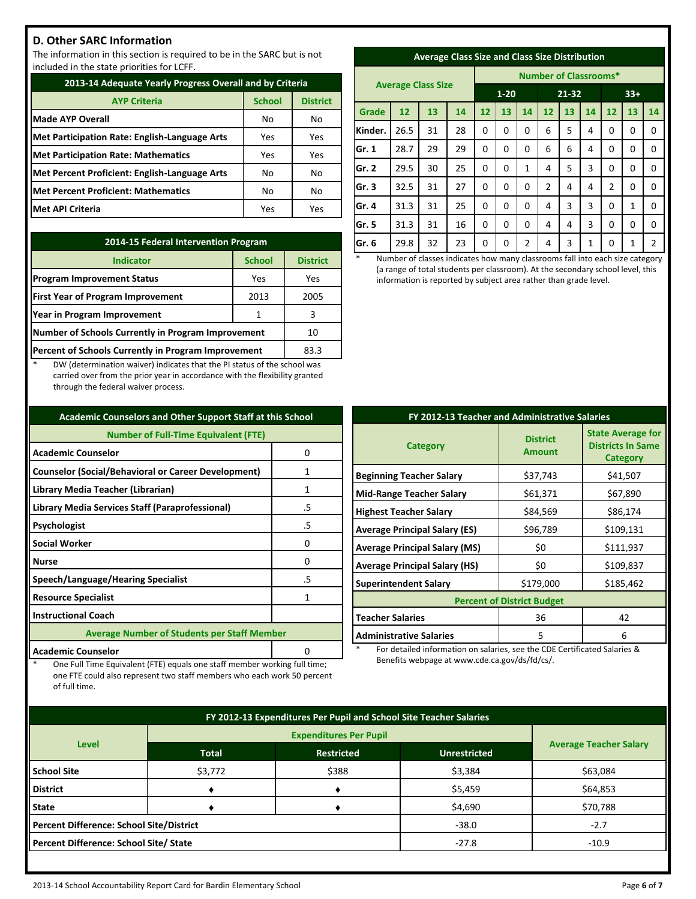## **D. Other SARC Information**

The information in this section is required to be in the SARC but is not included in the state priorities for LCFF.

| 2013-14 Adequate Yearly Progress Overall and by Criteria |               |                 |  |  |  |
|----------------------------------------------------------|---------------|-----------------|--|--|--|
| <b>AYP Criteria</b>                                      | <b>School</b> | <b>District</b> |  |  |  |
| <b>Made AYP Overall</b>                                  | No            | No              |  |  |  |
| Met Participation Rate: English-Language Arts            | Yes           | Yes             |  |  |  |
| <b>Met Participation Rate: Mathematics</b>               | Yes           | Yes             |  |  |  |
| Met Percent Proficient: English-Language Arts            | No            | No              |  |  |  |
| Met Percent Proficient: Mathematics                      | No            | No              |  |  |  |
| <b>Met API Criteria</b>                                  | Yes           | Yes             |  |  |  |

| 2014-15 Federal Intervention Program                |                 |      |  |  |  |
|-----------------------------------------------------|-----------------|------|--|--|--|
| <b>Indicator</b>                                    | <b>District</b> |      |  |  |  |
| <b>Program Improvement Status</b>                   | Yes             | Yes  |  |  |  |
| <b>First Year of Program Improvement</b>            | 2013            | 2005 |  |  |  |
| Year in Program Improvement                         | 1               | 3    |  |  |  |
| Number of Schools Currently in Program Improvement  | 10              |      |  |  |  |
| Percent of Schools Currently in Program Improvement | 83.3            |      |  |  |  |

DW (determination waiver) indicates that the PI status of the school was carried over from the prior year in accordance with the flexibility granted through the federal waiver process.

| <b>Academic Counselors and Other Support Staff at this School</b> |    |  |  |  |
|-------------------------------------------------------------------|----|--|--|--|
| <b>Number of Full-Time Equivalent (FTE)</b>                       |    |  |  |  |
| <b>Academic Counselor</b><br>0                                    |    |  |  |  |
| <b>Counselor (Social/Behavioral or Career Development)</b>        | 1  |  |  |  |
| Library Media Teacher (Librarian)                                 | 1  |  |  |  |
| Library Media Services Staff (Paraprofessional)                   | .5 |  |  |  |
| Psychologist                                                      | .5 |  |  |  |
| <b>Social Worker</b>                                              | 0  |  |  |  |
| <b>Nurse</b>                                                      | ŋ  |  |  |  |
| Speech/Language/Hearing Specialist                                | .5 |  |  |  |
| <b>Resource Specialist</b>                                        | 1  |  |  |  |
| <b>Instructional Coach</b>                                        |    |  |  |  |
| <b>Average Number of Students per Staff Member</b>                |    |  |  |  |
| <b>Academic Counselor</b>                                         |    |  |  |  |

One Full Time Equivalent (FTE) equals one staff member working full time; one FTE could also represent two staff members who each work 50 percent

of full time.

| <b>Average Class Size and Class Size Distribution</b> |
|-------------------------------------------------------|
|                                                       |

|              |                           |    |    | <b>Number of Classrooms*</b> |          |    |                |    |              |                |    |                |
|--------------|---------------------------|----|----|------------------------------|----------|----|----------------|----|--------------|----------------|----|----------------|
|              | <b>Average Class Size</b> |    |    | $1 - 20$                     |          |    | 21-32          |    |              | $33+$          |    |                |
| <b>Grade</b> | 12                        | 13 | 14 | 12                           | 13       | 14 | 12             | 13 | 14           | 12             | 13 | 14             |
| Kinder.      | 26.5                      | 31 | 28 | 0                            | $\Omega$ | 0  | 6              | 5  | 4            | 0              | 0  | 0              |
| Gr. 1        | 28.7                      | 29 | 29 | 0                            | $\Omega$ | 0  | 6              | 6  | 4            | 0              | 0  | $\mathbf 0$    |
| lGr. 2       | 29.5                      | 30 | 25 | 0                            | $\Omega$ | 1  | 4              | 5  | 3            | 0              | 0  | 0              |
| lGr. 3       | 32.5                      | 31 | 27 | 0                            | 0        | 0  | $\overline{2}$ | 4  | 4            | $\overline{2}$ | 0  | $\Omega$       |
| Gr. 4        | 31.3                      | 31 | 25 | 0                            | $\Omega$ | 0  | 4              | 3  | 3            | 0              | 1  | $\Omega$       |
| lGr. 5       | 31.3                      | 31 | 16 | 0                            | 0        | 0  | 4              | 4  | 3            | 0              | 0  | $\Omega$       |
| Gr. 6        | 29.8                      | 32 | 23 | 0                            | 0        | 2  | 4              | 3  | $\mathbf{1}$ | 0              | 1  | $\overline{2}$ |

Number of classes indicates how many classrooms fall into each size category (a range of total students per classroom). At the secondary school level, this information is reported by subject area rather than grade level.

| FY 2012-13 Teacher and Administrative Salaries |                                  |                                                                  |  |  |  |
|------------------------------------------------|----------------------------------|------------------------------------------------------------------|--|--|--|
| <b>Category</b>                                | <b>District</b><br><b>Amount</b> | <b>State Average for</b><br><b>Districts In Same</b><br>Category |  |  |  |
| <b>Beginning Teacher Salary</b>                | \$37,743                         | \$41,507                                                         |  |  |  |
| <b>Mid-Range Teacher Salary</b>                | \$61,371                         | \$67,890                                                         |  |  |  |
| <b>Highest Teacher Salary</b>                  | \$84,569                         | \$86,174                                                         |  |  |  |
| <b>Average Principal Salary (ES)</b>           | \$96,789                         | \$109,131                                                        |  |  |  |
| <b>Average Principal Salary (MS)</b>           | \$0                              | \$111,937                                                        |  |  |  |
| <b>Average Principal Salary (HS)</b>           | \$0                              | \$109,837                                                        |  |  |  |
| <b>Superintendent Salary</b>                   | \$179,000                        | \$185,462                                                        |  |  |  |
| <b>Percent of District Budget</b>              |                                  |                                                                  |  |  |  |
| <b>Teacher Salaries</b>                        | 36                               | 42                                                               |  |  |  |
| <b>Administrative Salaries</b>                 | 5                                | 6                                                                |  |  |  |

For detailed information on salaries, see the CDE Certificated Salaries & Benefits webpage at www.cde.ca.gov/ds/fd/cs/.

| FY 2012-13 Expenditures Per Pupil and School Site Teacher Salaries |              |                   |                               |          |  |
|--------------------------------------------------------------------|--------------|-------------------|-------------------------------|----------|--|
|                                                                    |              |                   |                               |          |  |
| <b>Level</b>                                                       | <b>Total</b> | <b>Restricted</b> | <b>Average Teacher Salary</b> |          |  |
| <b>School Site</b>                                                 | \$3,772      | \$388             | \$3,384                       | \$63,084 |  |
| <b>District</b>                                                    |              |                   | \$5,459                       | \$64,853 |  |
| <b>State</b>                                                       |              |                   | \$4,690                       | \$70,788 |  |
| <b>Percent Difference: School Site/District</b>                    |              |                   | $-38.0$                       | $-2.7$   |  |
| Percent Difference: School Site/ State                             |              |                   | $-27.8$                       | $-10.9$  |  |